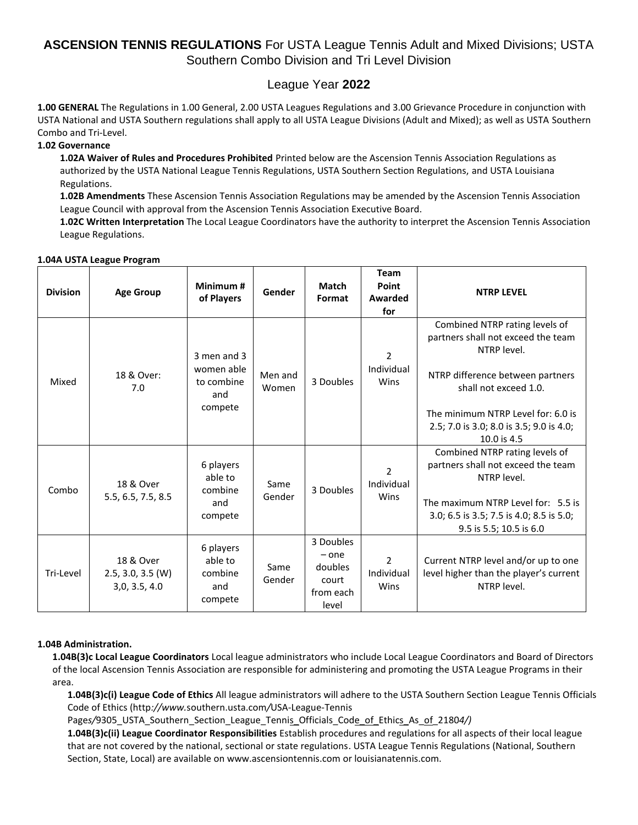## League Year **2022**

**1.00 GENERAL** The Regulations in 1.00 General, 2.00 USTA Leagues Regulations and 3.00 Grievance Procedure in conjunction with USTA National and USTA Southern regulations shall apply to all USTA League Divisions (Adult and Mixed); as well as USTA Southern Combo and Tri-Level.

## **1.02 Governance**

**1.02A Waiver of Rules and Procedures Prohibited** Printed below are the Ascension Tennis Association Regulations as authorized by the USTA National League Tennis Regulations, USTA Southern Section Regulations, and USTA Louisiana Regulations.

**1.02B Amendments** These Ascension Tennis Association Regulations may be amended by the Ascension Tennis Association League Council with approval from the Ascension Tennis Association Executive Board.

**1.02C Written Interpretation** The Local League Coordinators have the authority to interpret the Ascension Tennis Association League Regulations.

#### **1.04A USTA League Program**

| <b>Division</b> | <b>Age Group</b>                                  | Minimum#<br>of Players                                    | Gender           | <b>Match</b><br>Format                                         | Team<br>Point<br>Awarded<br>for      | <b>NTRP LEVEL</b>                                                                                                                                                                                                                                 |
|-----------------|---------------------------------------------------|-----------------------------------------------------------|------------------|----------------------------------------------------------------|--------------------------------------|---------------------------------------------------------------------------------------------------------------------------------------------------------------------------------------------------------------------------------------------------|
| Mixed           | 18 & Over:<br>7.0                                 | 3 men and 3<br>women able<br>to combine<br>and<br>compete | Men and<br>Women | 3 Doubles                                                      | $\overline{2}$<br>Individual<br>Wins | Combined NTRP rating levels of<br>partners shall not exceed the team<br>NTRP level.<br>NTRP difference between partners<br>shall not exceed 1.0.<br>The minimum NTRP Level for: 6.0 is<br>2.5; 7.0 is 3.0; 8.0 is 3.5; 9.0 is 4.0;<br>10.0 is 4.5 |
| Combo           | 18 & Over<br>5.5, 6.5, 7.5, 8.5                   | 6 players<br>able to<br>combine<br>and<br>compete         | Same<br>Gender   | 3 Doubles                                                      | $\mathcal{P}$<br>Individual<br>Wins  | Combined NTRP rating levels of<br>partners shall not exceed the team<br>NTRP level.<br>The maximum NTRP Level for: 5.5 is<br>3.0; 6.5 is 3.5; 7.5 is 4.0; 8.5 is 5.0;<br>9.5 is 5.5; 10.5 is 6.0                                                  |
| Tri-Level       | 18 & Over<br>$2.5, 3.0, 3.5$ (W)<br>3,0, 3.5, 4.0 | 6 players<br>able to<br>combine<br>and<br>compete         | Same<br>Gender   | 3 Doubles<br>$-$ one<br>doubles<br>court<br>from each<br>level | $\overline{2}$<br>Individual<br>Wins | Current NTRP level and/or up to one<br>level higher than the player's current<br>NTRP level.                                                                                                                                                      |

## **1.04B Administration.**

**1.04B(3)c Local League Coordinators** Local league administrators who include Local League Coordinators and Board of Directors of the local Ascension Tennis Association are responsible for administering and promoting the USTA League Programs in their area.

**1.04B(3)c(i) League Code of Ethics** All league administrators will adhere to the USTA Southern Section League Tennis Officials Code of Ethics (http*://www.*southern.usta.com*/*USA-League-Tennis

Pages/9305\_USTA\_Southern\_Section\_League\_Tennis\_Officials\_Code\_of\_Ethics\_As\_of\_21804/)

**1.04B(3)c(ii) League Coordinator Responsibilities** Establish procedures and regulations for all aspects of their local league that are not covered by the national, sectional or state regulations. USTA League Tennis Regulations (National, Southern Section, State, Local) are available on www.ascensiontennis.com or louisianatennis.com.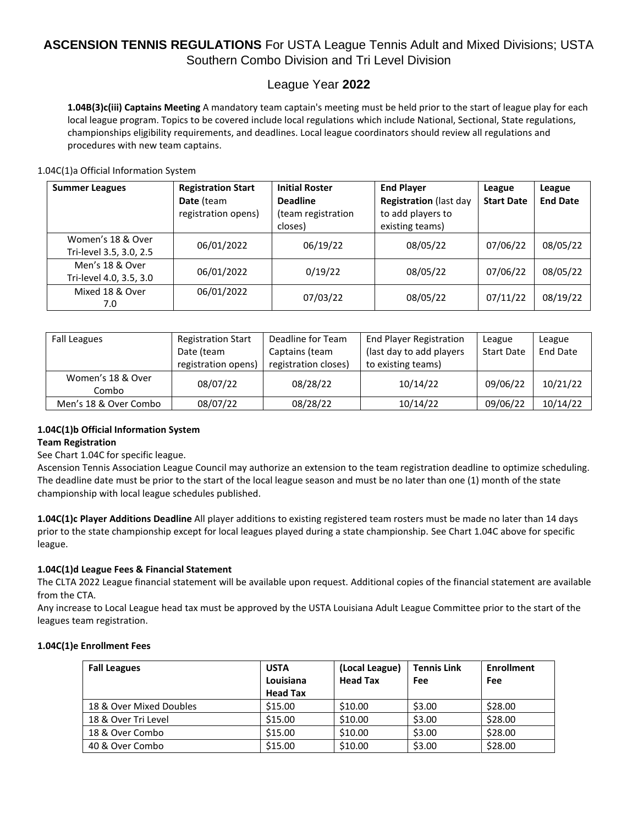## League Year **2022**

**1.04B(3)c(iii) Captains Meeting** A mandatory team captain's meeting must be held prior to the start of league play for each local league program. Topics to be covered include local regulations which include National, Sectional, State regulations, championships eligibility requirements, and deadlines. Local league coordinators should review all regulations and procedures with new team captains.

1.04C(1)a Official Information System

| <b>Summer Leagues</b>                        | <b>Registration Start</b><br>Date (team<br>registration opens) | <b>Initial Roster</b><br><b>Deadline</b><br>(team registration<br>closes) | <b>End Player</b><br><b>Registration (last day</b><br>to add players to<br>existing teams) | League<br><b>Start Date</b> | League<br><b>End Date</b> |
|----------------------------------------------|----------------------------------------------------------------|---------------------------------------------------------------------------|--------------------------------------------------------------------------------------------|-----------------------------|---------------------------|
| Women's 18 & Over<br>Tri-level 3.5, 3.0, 2.5 | 06/01/2022                                                     | 06/19/22                                                                  | 08/05/22                                                                                   | 07/06/22                    | 08/05/22                  |
| Men's 18 & Over<br>Tri-level 4.0, 3.5, 3.0   | 06/01/2022                                                     | 0/19/22                                                                   | 08/05/22                                                                                   | 07/06/22                    | 08/05/22                  |
| Mixed 18 & Over<br>7.0                       | 06/01/2022                                                     | 07/03/22                                                                  | 08/05/22                                                                                   | 07/11/22                    | 08/19/22                  |

| <b>Fall Leagues</b>        | <b>Registration Start</b><br>Date (team<br>registration opens) | Deadline for Team<br>Captains (team<br>registration closes) | <b>End Player Registration</b><br>(last day to add players)<br>to existing teams) | League<br><b>Start Date</b> | League<br><b>End Date</b> |
|----------------------------|----------------------------------------------------------------|-------------------------------------------------------------|-----------------------------------------------------------------------------------|-----------------------------|---------------------------|
| Women's 18 & Over<br>Combo | 08/07/22                                                       | 08/28/22                                                    | 10/14/22                                                                          | 09/06/22                    | 10/21/22                  |
| Men's 18 & Over Combo      | 08/07/22                                                       | 08/28/22                                                    | 10/14/22                                                                          | 09/06/22                    | 10/14/22                  |

## **1.04C(1)b Official Information System**

## **Team Registration**

## See Chart 1.04C for specific league.

Ascension Tennis Association League Council may authorize an extension to the team registration deadline to optimize scheduling. The deadline date must be prior to the start of the local league season and must be no later than one (1) month of the state championship with local league schedules published.

**1.04C(1)c Player Additions Deadline** All player additions to existing registered team rosters must be made no later than 14 days prior to the state championship except for local leagues played during a state championship. See Chart 1.04C above for specific league.

## **1.04C(1)d League Fees & Financial Statement**

The CLTA 2022 League financial statement will be available upon request. Additional copies of the financial statement are available from the CTA.

Any increase to Local League head tax must be approved by the USTA Louisiana Adult League Committee prior to the start of the leagues team registration.

## **1.04C(1)e Enrollment Fees**

| <b>Fall Leagues</b>     | <b>USTA</b><br>Louisiana<br><b>Head Tax</b> | (Local League)<br><b>Head Tax</b> | <b>Tennis Link</b><br>Fee | <b>Enrollment</b><br>Fee |
|-------------------------|---------------------------------------------|-----------------------------------|---------------------------|--------------------------|
| 18 & Over Mixed Doubles | \$15.00                                     | \$10.00                           | \$3.00                    | \$28.00                  |
| 18 & Over Tri Level     | \$15.00                                     | \$10.00                           | \$3.00                    | \$28.00                  |
| 18 & Over Combo         | \$15.00                                     | \$10.00                           | \$3.00                    | \$28.00                  |
| 40 & Over Combo         | \$15.00                                     | \$10.00                           | \$3.00                    | \$28.00                  |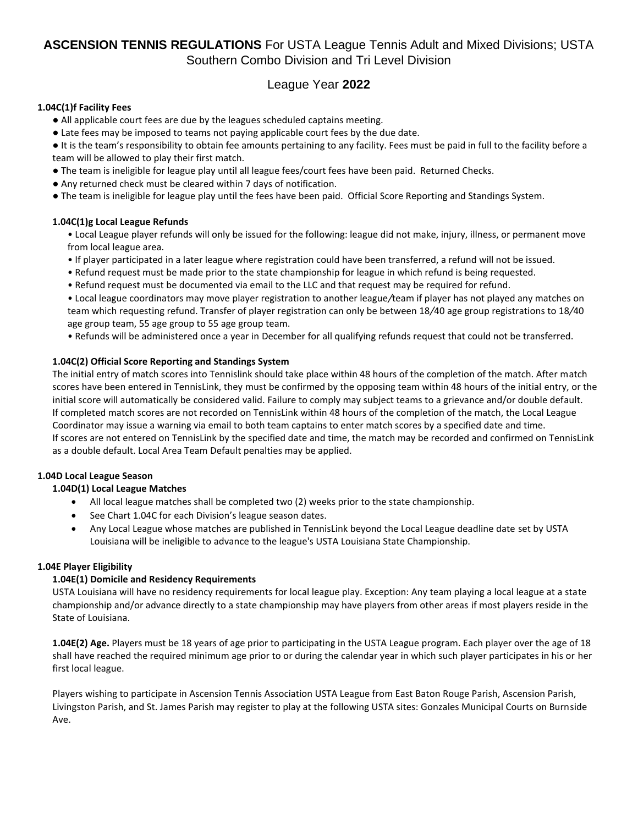## League Year **2022**

## **1.04C(1)f Facility Fees**

- All applicable court fees are due by the leagues scheduled captains meeting.
- Late fees may be imposed to teams not paying applicable court fees by the due date.

● It is the team's responsibility to obtain fee amounts pertaining to any facility. Fees must be paid in full to the facility before a team will be allowed to play their first match.

- The team is ineligible for league play until all league fees/court fees have been paid. Returned Checks.
- Any returned check must be cleared within 7 days of notification.
- The team is ineligible for league play until the fees have been paid. Official Score Reporting and Standings System.

## **1.04C(1)g Local League Refunds**

• Local League player refunds will only be issued for the following: league did not make, injury, illness, or permanent move from local league area.

- If player participated in a later league where registration could have been transferred, a refund will not be issued.
- Refund request must be made prior to the state championship for league in which refund is being requested.
- Refund request must be documented via email to the LLC and that request may be required for refund.

• Local league coordinators may move player registration to another league*/*team if player has not played any matches on team which requesting refund. Transfer of player registration can only be between 18*/*40 age group registrations to 18*/*40 age group team, 55 age group to 55 age group team.

• Refunds will be administered once a year in December for all qualifying refunds request that could not be transferred.

## **1.04C(2) Official Score Reporting and Standings System**

The initial entry of match scores into Tennislink should take place within 48 hours of the completion of the match. After match scores have been entered in TennisLink, they must be confirmed by the opposing team within 48 hours of the initial entry, or the initial score will automatically be considered valid. Failure to comply may subject teams to a grievance and/or double default. If completed match scores are not recorded on TennisLink within 48 hours of the completion of the match, the Local League Coordinator may issue a warning via email to both team captains to enter match scores by a specified date and time. If scores are not entered on TennisLink by the specified date and time, the match may be recorded and confirmed on TennisLink as a double default. Local Area Team Default penalties may be applied.

## **1.04D Local League Season**

## **1.04D(1) Local League Matches**

- All local league matches shall be completed two (2) weeks prior to the state championship.
- See Chart 1.04C for each Division's league season dates.
- Any Local League whose matches are published in TennisLink beyond the Local League deadline date set by USTA Louisiana will be ineligible to advance to the league's USTA Louisiana State Championship.

## **1.04E Player Eligibility**

## **1.04E(1) Domicile and Residency Requirements**

USTA Louisiana will have no residency requirements for local league play. Exception: Any team playing a local league at a state championship and/or advance directly to a state championship may have players from other areas if most players reside in the State of Louisiana.

**1.04E(2) Age.** Players must be 18 years of age prior to participating in the USTA League program. Each player over the age of 18 shall have reached the required minimum age prior to or during the calendar year in which such player participates in his or her first local league.

Players wishing to participate in Ascension Tennis Association USTA League from East Baton Rouge Parish, Ascension Parish, Livingston Parish, and St. James Parish may register to play at the following USTA sites: Gonzales Municipal Courts on Burnside Ave.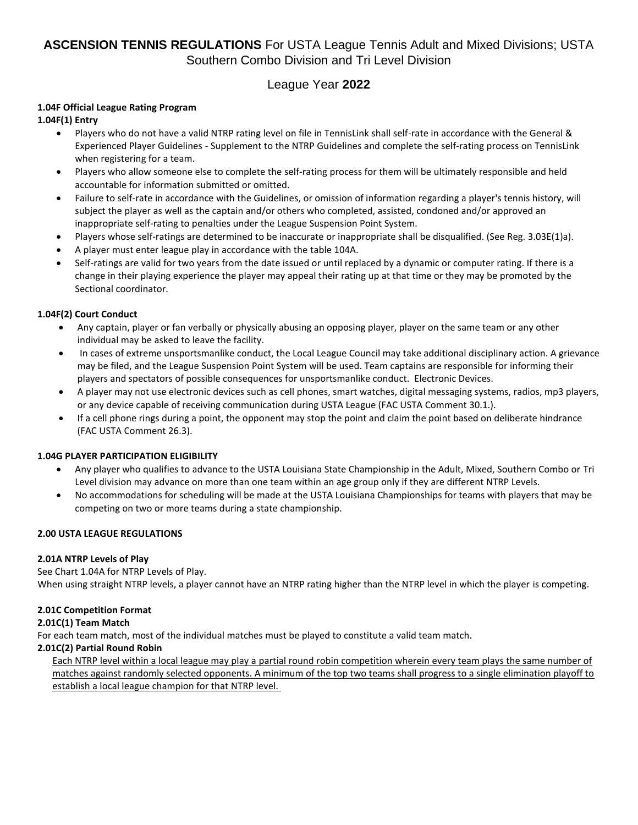## League Year **2022**

## **1.04F Official League Rating Program**

## **1.04F(1) Entry**

- Players who do not have a valid NTRP rating level on file in TennisLink shall self-rate in accordance with the General & Experienced Player Guidelines - Supplement to the NTRP Guidelines and complete the self-rating process on TennisLink when registering for a team.
- Players who allow someone else to complete the self-rating process for them will be ultimately responsible and held accountable for information submitted or omitted.
- Failure to self-rate in accordance with the Guidelines, or omission of information regarding a player's tennis history, will subject the player as well as the captain and/or others who completed, assisted, condoned and/or approved an inappropriate self-rating to penalties under the League Suspension Point System.
- Players whose self-ratings are determined to be inaccurate or inappropriate shall be disqualified. (See Reg. 3.03E(1)a).
- A player must enter league play in accordance with the table 104A.
- Self-ratings are valid for two years from the date issued or until replaced by a dynamic or computer rating. If there is a change in their playing experience the player may appeal their rating up at that time or they may be promoted by the Sectional coordinator.

## **1.04F(2) Court Conduct**

- Any captain, player or fan verbally or physically abusing an opposing player, player on the same team or any other individual may be asked to leave the facility.
- In cases of extreme unsportsmanlike conduct, the Local League Council may take additional disciplinary action. A grievance may be filed, and the League Suspension Point System will be used. Team captains are responsible for informing their players and spectators of possible consequences for unsportsmanlike conduct. Electronic Devices.
- A player may not use electronic devices such as cell phones, smart watches, digital messaging systems, radios, mp3 players, or any device capable of receiving communication during USTA League (FAC USTA Comment 30.1.).
- If a cell phone rings during a point, the opponent may stop the point and claim the point based on deliberate hindrance (FAC USTA Comment 26.3).

## **1.04G PLAYER PARTICIPATION ELIGIBILITY**

- Any player who qualifies to advance to the USTA Louisiana State Championship in the Adult, Mixed, Southern Combo or Tri Level division may advance on more than one team within an age group only if they are different NTRP Levels.
- No accommodations for scheduling will be made at the USTA Louisiana Championships for teams with players that may be competing on two or more teams during a state championship.

## **2.00 USTA LEAGUE REGULATIONS**

## **2.01A NTRP Levels of Play**

See Chart 1.04A for NTRP Levels of Play. When using straight NTRP levels, a player cannot have an NTRP rating higher than the NTRP level in which the player is competing.

## **2.01C Competition Format**

## **2.01C(1) Team Match**

For each team match, most of the individual matches must be played to constitute a valid team match.

## **2.01C(2) Partial Round Robin**

Each NTRP level within a local league may play a partial round robin competition wherein every team plays the same number of matches against randomly selected opponents. A minimum of the top two teams shall progress to a single elimination playoff to establish a local league champion for that NTRP level.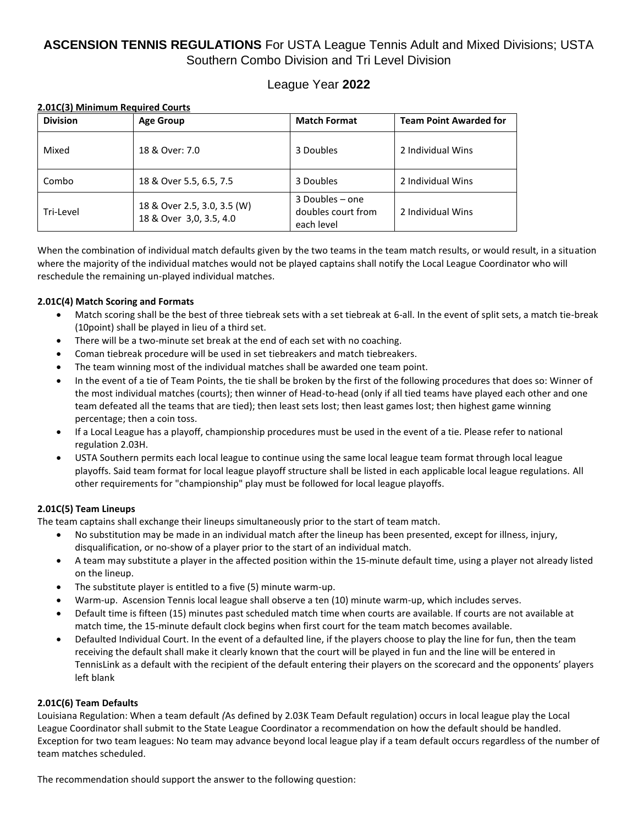## League Year **2022**

## **2.01C(3) Minimum Required Courts**

| <b>Division</b> | <b>Age Group</b>                                       | <b>Match Format</b>                                 | <b>Team Point Awarded for</b> |
|-----------------|--------------------------------------------------------|-----------------------------------------------------|-------------------------------|
| Mixed           | 18 & Over: 7.0                                         | 3 Doubles                                           | 2 Individual Wins             |
| Combo           | 18 & Over 5.5, 6.5, 7.5                                | 3 Doubles                                           | 2 Individual Wins             |
| Tri-Level       | 18 & Over 2.5, 3.0, 3.5 (W)<br>18 & Over 3,0, 3.5, 4.0 | 3 Doubles – one<br>doubles court from<br>each level | 2 Individual Wins             |

When the combination of individual match defaults given by the two teams in the team match results, or would result, in a situation where the majority of the individual matches would not be played captains shall notify the Local League Coordinator who will reschedule the remaining un-played individual matches.

## **2.01C(4) Match Scoring and Formats**

- Match scoring shall be the best of three tiebreak sets with a set tiebreak at 6-all. In the event of split sets, a match tie-break (10point) shall be played in lieu of a third set.
- There will be a two-minute set break at the end of each set with no coaching.
- Coman tiebreak procedure will be used in set tiebreakers and match tiebreakers.
- The team winning most of the individual matches shall be awarded one team point.
- In the event of a tie of Team Points, the tie shall be broken by the first of the following procedures that does so: Winner of the most individual matches (courts); then winner of Head-to-head (only if all tied teams have played each other and one team defeated all the teams that are tied); then least sets lost; then least games lost; then highest game winning percentage; then a coin toss.
- If a Local League has a playoff, championship procedures must be used in the event of a tie. Please refer to national regulation 2.03H.
- USTA Southern permits each local league to continue using the same local league team format through local league playoffs. Said team format for local league playoff structure shall be listed in each applicable local league regulations. All other requirements for "championship" play must be followed for local league playoffs.

## **2.01C(5) Team Lineups**

The team captains shall exchange their lineups simultaneously prior to the start of team match.

- No substitution may be made in an individual match after the lineup has been presented, except for illness, injury, disqualification, or no-show of a player prior to the start of an individual match.
- A team may substitute a player in the affected position within the 15-minute default time, using a player not already listed on the lineup.
- The substitute player is entitled to a five (5) minute warm-up.
- Warm-up. Ascension Tennis local league shall observe a ten (10) minute warm-up, which includes serves.
- Default time is fifteen (15) minutes past scheduled match time when courts are available. If courts are not available at match time, the 15-minute default clock begins when first court for the team match becomes available.
- Defaulted Individual Court. In the event of a defaulted line, if the players choose to play the line for fun, then the team receiving the default shall make it clearly known that the court will be played in fun and the line will be entered in TennisLink as a default with the recipient of the default entering their players on the scorecard and the opponents' players left blank

## **2.01C(6) Team Defaults**

Louisiana Regulation: When a team default *(*As defined by 2.03K Team Default regulation) occurs in local league play the Local League Coordinator shall submit to the State League Coordinator a recommendation on how the default should be handled. Exception for two team leagues: No team may advance beyond local league play if a team default occurs regardless of the number of team matches scheduled.

The recommendation should support the answer to the following question: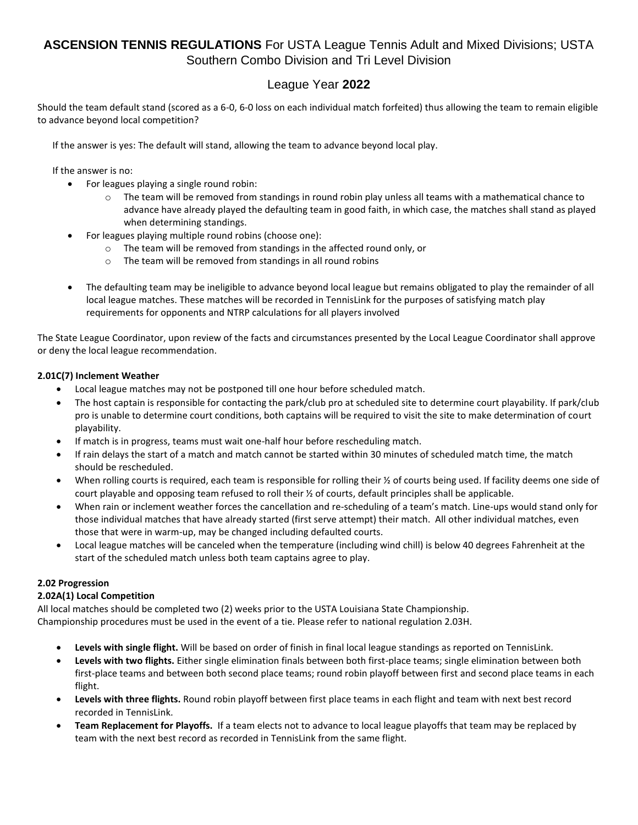## League Year **2022**

Should the team default stand (scored as a 6-0, 6-0 loss on each individual match forfeited) thus allowing the team to remain eligible to advance beyond local competition?

If the answer is yes: The default will stand, allowing the team to advance beyond local play.

If the answer is no:

- For leagues playing a single round robin:
	- $\circ$  The team will be removed from standings in round robin play unless all teams with a mathematical chance to advance have already played the defaulting team in good faith, in which case, the matches shall stand as played when determining standings.
	- For leagues playing multiple round robins (choose one):
		- o The team will be removed from standings in the affected round only, or
		- The team will be removed from standings in all round robins
- The defaulting team may be ineligible to advance beyond local league but remains obligated to play the remainder of all local league matches. These matches will be recorded in TennisLink for the purposes of satisfying match play requirements for opponents and NTRP calculations for all players involved

The State League Coordinator, upon review of the facts and circumstances presented by the Local League Coordinator shall approve or deny the local league recommendation.

## **2.01C(7) Inclement Weather**

- Local league matches may not be postponed till one hour before scheduled match.
- The host captain is responsible for contacting the park/club pro at scheduled site to determine court playability. If park/club pro is unable to determine court conditions, both captains will be required to visit the site to make determination of court playability.
- If match is in progress, teams must wait one-half hour before rescheduling match.
- If rain delays the start of a match and match cannot be started within 30 minutes of scheduled match time, the match should be rescheduled.
- When rolling courts is required, each team is responsible for rolling their % of courts being used. If facility deems one side of court playable and opposing team refused to roll their ½ of courts, default principles shall be applicable.
- When rain or inclement weather forces the cancellation and re-scheduling of a team's match. Line-ups would stand only for those individual matches that have already started (first serve attempt) their match. All other individual matches, even those that were in warm-up, may be changed including defaulted courts.
- Local league matches will be canceled when the temperature (including wind chill) is below 40 degrees Fahrenheit at the start of the scheduled match unless both team captains agree to play.

## **2.02 Progression**

## **2.02A(1) Local Competition**

All local matches should be completed two (2) weeks prior to the USTA Louisiana State Championship. Championship procedures must be used in the event of a tie. Please refer to national regulation 2.03H.

- **Levels with single flight.** Will be based on order of finish in final local league standings as reported on TennisLink.
- **Levels with two flights.** Either single elimination finals between both first-place teams; single elimination between both first-place teams and between both second place teams; round robin playoff between first and second place teams in each flight.
- **Levels with three flights.** Round robin playoff between first place teams in each flight and team with next best record recorded in TennisLink.
- **Team Replacement for Playoffs.** If a team elects not to advance to local league playoffs that team may be replaced by team with the next best record as recorded in TennisLink from the same flight.